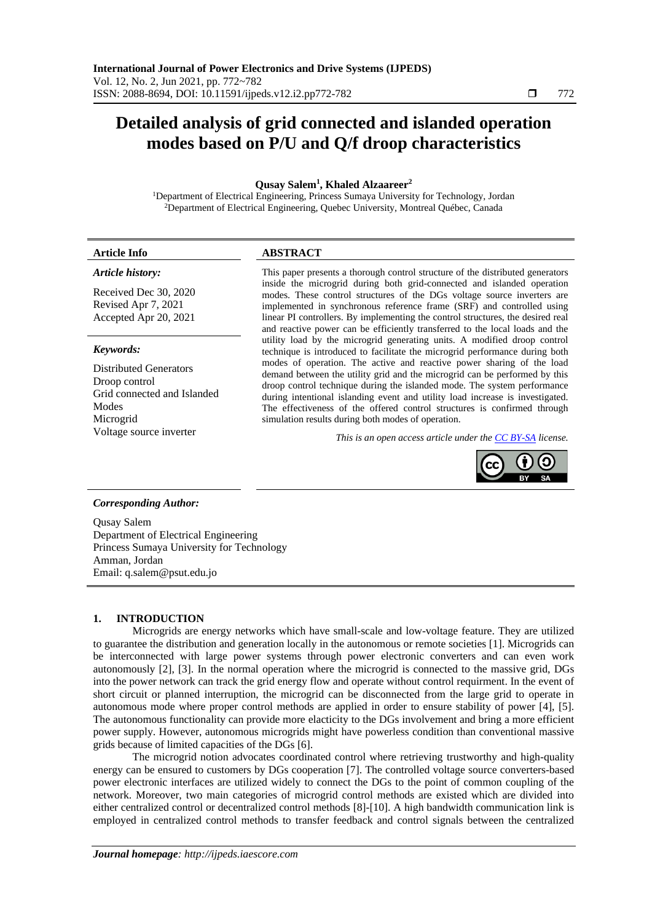# **Detailed analysis of grid connected and islanded operation modes based on P/U and Q/f droop characteristics**

**Qusay Salem<sup>1</sup> , Khaled Alzaareer<sup>2</sup>**

<sup>1</sup>Department of Electrical Engineering, Princess Sumaya University for Technology, Jordan <sup>2</sup>Department of Electrical Engineering, Quebec University, Montreal Québec, Canada

| .            | $DCDD$ $ADD$    |
|--------------|-----------------|
| Article Info | <b>ADUINACI</b> |
|              |                 |

#### *Article history:*

Received Dec 30, 2020 Revised Apr 7, 2021 Accepted Apr 20, 2021

#### *Keywords:*

Distributed Generators Droop control Grid connected and Islanded Modes Microgrid

This paper presents a thorough control structure of the distributed generators inside the microgrid during both grid-connected and islanded operation modes. These control structures of the DGs voltage source inverters are implemented in synchronous reference frame (SRF) and controlled using linear PI controllers. By implementing the control structures, the desired real and reactive power can be efficiently transferred to the local loads and the utility load by the microgrid generating units. A modified droop control technique is introduced to facilitate the microgrid performance during both modes of operation. The active and reactive power sharing of the load demand between the utility grid and the microgrid can be performed by this droop control technique during the islanded mode. The system performance during intentional islanding event and utility load increase is investigated. The effectiveness of the offered control structures is confirmed through simulation results during both modes of operation.

Voltage source inverter *This is an open access article under the [CC BY-SA](https://creativecommons.org/licenses/by-sa/4.0/) license.*



# *Corresponding Author:*

Qusay Salem Department of Electrical Engineering Princess Sumaya University for Technology Amman, Jordan Email: q.salem@psut.edu.jo

# **1. INTRODUCTION**

Microgrids are energy networks which have small-scale and low-voltage feature. They are utilized to guarantee the distribution and generation locally in the autonomous or remote societies [1]. Microgrids can be interconnected with large power systems through power electronic converters and can even work autonomously [2], [3]. In the normal operation where the microgrid is connected to the massive grid, DGs into the power network can track the grid energy flow and operate without control requirment. In the event of short circuit or planned interruption, the microgrid can be disconnected from the large grid to operate in autonomous mode where proper control methods are applied in order to ensure stability of power [4], [5]. The autonomous functionality can provide more elacticity to the DGs involvement and bring a more efficient power supply. However, autonomous microgrids might have powerless condition than conventional massive grids because of limited capacities of the DGs [6].

The microgrid notion advocates coordinated control where retrieving trustworthy and high-quality energy can be ensured to customers by DGs cooperation [7]. The controlled voltage source converters-based power electronic interfaces are utilized widely to connect the DGs to the point of common coupling of the network. Moreover, two main categories of microgrid control methods are existed which are divided into either centralized control or decentralized control methods [8]-[10]. A high bandwidth communication link is employed in centralized control methods to transfer feedback and control signals between the centralized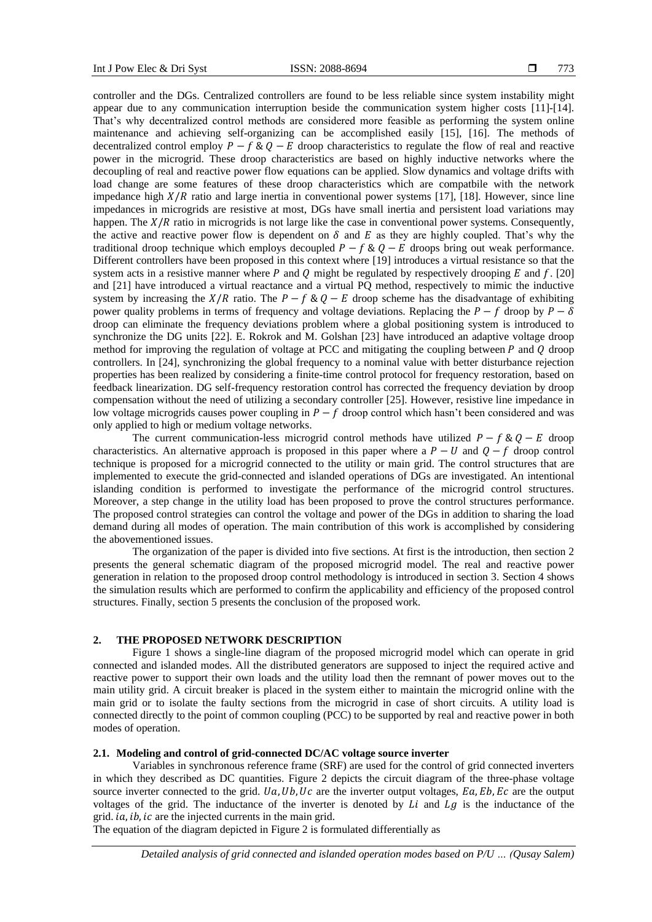controller and the DGs. Centralized controllers are found to be less reliable since system instability might appear due to any communication interruption beside the communication system higher costs [11]-[14]. That's why decentralized control methods are considered more feasible as performing the system online maintenance and achieving self-organizing can be accomplished easily [15], [16]. The methods of decentralized control employ  $P - f \& Q - E$  droop characteristics to regulate the flow of real and reactive power in the microgrid. These droop characteristics are based on highly inductive networks where the decoupling of real and reactive power flow equations can be applied. Slow dynamics and voltage drifts with load change are some features of these droop characteristics which are compatbile with the network impedance high  $X/R$  ratio and large inertia in conventional power systems [17], [18]. However, since line impedances in microgrids are resistive at most, DGs have small inertia and persistent load variations may happen. The  $X/R$  ratio in microgrids is not large like the case in conventional power systems. Consequently, the active and reactive power flow is dependent on  $\delta$  and  $E$  as they are highly coupled. That's why the traditional droop technique which employs decoupled  $P - f \& Q - E$  droops bring out weak performance. Different controllers have been proposed in this context where [19] introduces a virtual resistance so that the system acts in a resistive manner where P and O might be regulated by respectively drooping E and f. [20] and [21] have introduced a virtual reactance and a virtual PQ method, respectively to mimic the inductive system by increasing the  $X/R$  ratio. The  $P - f & Q - E$  droop scheme has the disadvantage of exhibiting power quality problems in terms of frequency and voltage deviations. Replacing the  $P - f$  droop by  $P - \delta$ droop can eliminate the frequency deviations problem where a global positioning system is introduced to synchronize the DG units [22]. E. Rokrok and M. Golshan [23] have introduced an adaptive voltage droop method for improving the regulation of voltage at PCC and mitigating the coupling between  $P$  and  $Q$  droop controllers. In [24], synchronizing the global frequency to a nominal value with better disturbance rejection properties has been realized by considering a finite-time control protocol for frequency restoration, based on feedback linearization. DG self-frequency restoration control has corrected the frequency deviation by droop compensation without the need of utilizing a secondary controller [25]. However, resistive line impedance in low voltage microgrids causes power coupling in  $P - f$  droop control which hasn't been considered and was only applied to high or medium voltage networks.

The current communication-less microgrid control methods have utilized  $P - f \& O - E$  droop characteristics. An alternative approach is proposed in this paper where a  $P - U$  and  $Q - f$  droop control technique is proposed for a microgrid connected to the utility or main grid. The control structures that are implemented to execute the grid-connected and islanded operations of DGs are investigated. An intentional islanding condition is performed to investigate the performance of the microgrid control structures. Moreover, a step change in the utility load has been proposed to prove the control structures performance. The proposed control strategies can control the voltage and power of the DGs in addition to sharing the load demand during all modes of operation. The main contribution of this work is accomplished by considering the abovementioned issues.

The organization of the paper is divided into five sections. At first is the introduction, then section 2 presents the general schematic diagram of the proposed microgrid model. The real and reactive power generation in relation to the proposed droop control methodology is introduced in section 3. Section 4 shows the simulation results which are performed to confirm the applicability and efficiency of the proposed control structures. Finally, section 5 presents the conclusion of the proposed work.

#### **2. THE PROPOSED NETWORK DESCRIPTION**

Figure 1 shows a single-line diagram of the proposed microgrid model which can operate in grid connected and islanded modes. All the distributed generators are supposed to inject the required active and reactive power to support their own loads and the utility load then the remnant of power moves out to the main utility grid. A circuit breaker is placed in the system either to maintain the microgrid online with the main grid or to isolate the faulty sections from the microgrid in case of short circuits. A utility load is connected directly to the point of common coupling (PCC) to be supported by real and reactive power in both modes of operation.

# **2.1. Modeling and control of grid-connected DC/AC voltage source inverter**

Variables in synchronous reference frame (SRF) are used for the control of grid connected inverters in which they described as DC quantities. Figure 2 depicts the circuit diagram of the three-phase voltage source inverter connected to the grid.  $Ua$ ,  $Ub$ ,  $Uc$  are the inverter output voltages,  $Ea$ ,  $Eb$ ,  $Ec$  are the output voltages of the grid. The inductance of the inverter is denoted by  $Li$  and  $Lg$  is the inductance of the grid.  $ia$ ,  $ib$ ,  $ic$  are the injected currents in the main grid.

The equation of the diagram depicted in Figure 2 is formulated differentially as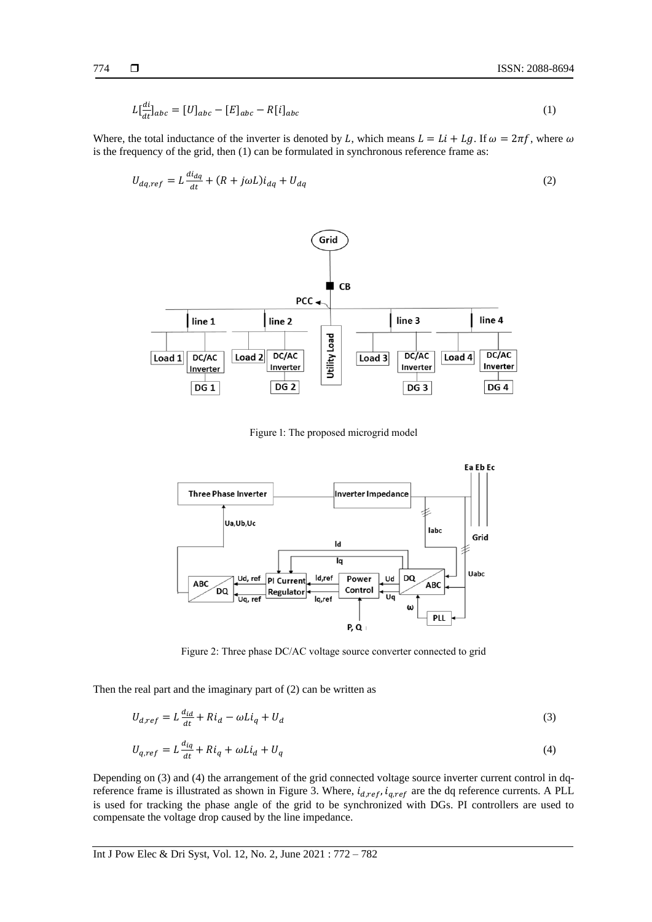$$
L\left[\frac{di}{dt}\right]_{abc} = [U]_{abc} - [E]_{abc} - R[i]_{abc} \tag{1}
$$

Where, the total inductance of the inverter is denoted by L, which means  $L = Li + Lg$ . If  $\omega = 2\pi f$ , where  $\omega$ is the frequency of the grid, then (1) can be formulated in synchronous reference frame as:

$$
U_{dq,ref} = L\frac{di_{dq}}{dt} + (R + j\omega L)i_{dq} + U_{dq}
$$
\n<sup>(2)</sup>



Figure 1: The proposed microgrid model



Figure 2: Three phase DC/AC voltage source converter connected to grid

Then the real part and the imaginary part of (2) can be written as

$$
U_{d,ref} = L\frac{d_{id}}{dt} + Ri_d - \omega L i_q + U_d
$$
\n<sup>(3)</sup>

$$
U_{q,ref} = L\frac{d_{iq}}{dt} + Ri_q + \omega L i_d + U_q
$$
\n<sup>(4)</sup>

Depending on (3) and (4) the arrangement of the grid connected voltage source inverter current control in dqreference frame is illustrated as shown in Figure 3. Where,  $i_{d,ref}$ ,  $i_{q,ref}$  are the dq reference currents. A PLL is used for tracking the phase angle of the grid to be synchronized with DGs. PI controllers are used to compensate the voltage drop caused by the line impedance.

Int J Pow Elec & Dri Syst, Vol. 12, No. 2, June 2021 : 772 – 782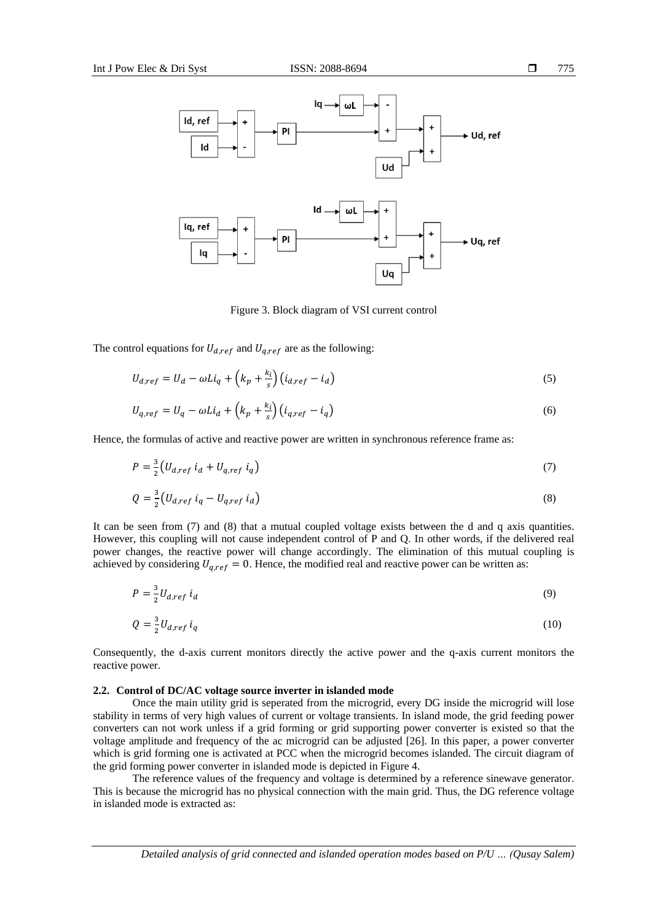

Figure 3. Block diagram of VSI current control

The control equations for  $U_{d,ref}$  and  $U_{q,ref}$  are as the following:

$$
U_{d,ref} = U_d - \omega Li_q + \left(k_p + \frac{k_i}{s}\right) \left(i_{d,ref} - i_d\right) \tag{5}
$$

$$
U_{q,ref} = U_q - \omega Li_d + \left(k_p + \frac{k_i}{s}\right) \left(i_{q,ref} - i_q\right) \tag{6}
$$

Hence, the formulas of active and reactive power are written in synchronous reference frame as:

$$
P = \frac{3}{2} \left( U_{d,ref} \ i_d + U_{q,ref} \ i_q \right) \tag{7}
$$

$$
Q = \frac{3}{2} \left( U_{d,ref} \ i_q - U_{q,ref} \ i_d \right) \tag{8}
$$

It can be seen from (7) and (8) that a mutual coupled voltage exists between the d and q axis quantities. However, this coupling will not cause independent control of P and Q. In other words, if the delivered real power changes, the reactive power will change accordingly. The elimination of this mutual coupling is achieved by considering  $U_{q,ref} = 0$ . Hence, the modified real and reactive power can be written as:

$$
P = \frac{3}{2} U_{d,ref} \, i_d \tag{9}
$$

$$
Q = \frac{3}{2} U_{d,ref} \, i_q \tag{10}
$$

Consequently, the d-axis current monitors directly the active power and the q-axis current monitors the reactive power.

#### **2.2. Control of DC/AC voltage source inverter in islanded mode**

Once the main utility grid is seperated from the microgrid, every DG inside the microgrid will lose stability in terms of very high values of current or voltage transients. In island mode, the grid feeding power converters can not work unless if a grid forming or grid supporting power converter is existed so that the voltage amplitude and frequency of the ac microgrid can be adjusted [26]. In this paper, a power converter which is grid forming one is activated at PCC when the microgrid becomes islanded. The circuit diagram of the grid forming power converter in islanded mode is depicted in Figure 4.

The reference values of the frequency and voltage is determined by a reference sinewave generator. This is because the microgrid has no physical connection with the main grid. Thus, the DG reference voltage in islanded mode is extracted as:

*Detailed analysis of grid connected and islanded operation modes based on P/U … (Qusay Salem)*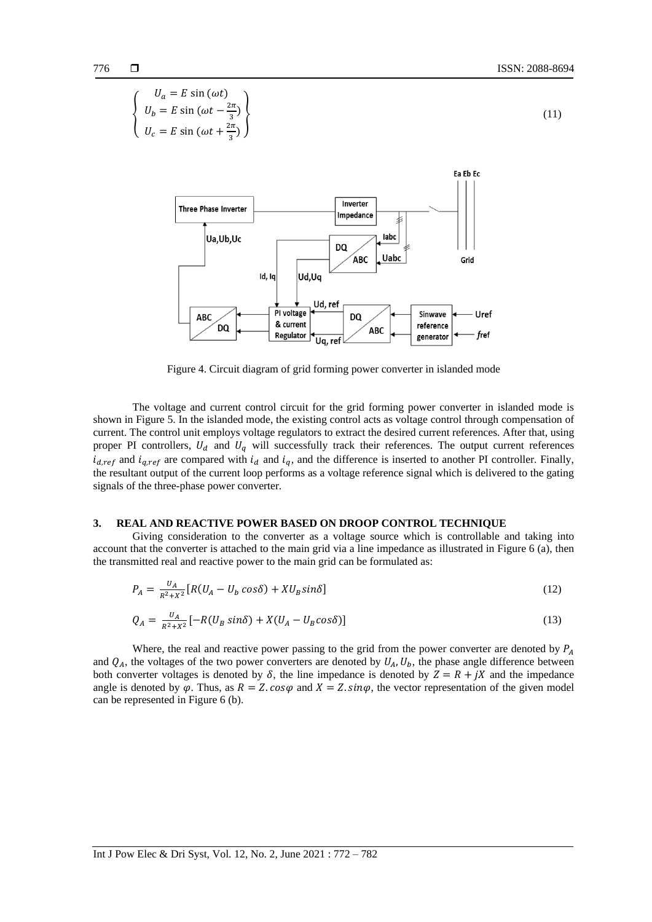$$
\begin{cases}\nU_a = E \sin(\omega t) \\
U_c = E \sin(\omega t + \frac{2\pi}{3})\n\end{cases}
$$
\n(11)  
\n
$$
U_c = E \sin(\omega t + \frac{2\pi}{3})
$$
\n**Example 2.1**  
\n**Three Phase Inverter**  
\n**Table 3.1**  
\n**Table 4.1**  
\n**Table 5.1**  
\n**Table 6.1**  
\n**Table 7.1**  
\n**Table 8.1**  
\n**Table 9.1**  
\n**Table 10.1**  
\n**Table 10.1**  
\n**Table 10.1**  
\n**Table 10.1**  
\n**Table 10.1**  
\n**Table 10.1**  
\n**Table 10.1**  
\n**Table 10.1**  
\n**Table 10.1**  
\n**Table 10.1**  
\n**Table 10.1**  
\n**Table 10.1**  
\n**Example 11.1**  
\n**Table 11.1**  
\n**Table 12.1**  
\n**Table 13.1**  
\n**Table 14.1**  
\n**Table 15.1**  
\n**Table 16.1**  
\n**Table 17.1**  
\n**Table 18.1**  
\n**Example 19.1**  
\n**Table 10.1**  
\n**Example 10.1**  
\n**Table 11.1**  
\n**Table 12.1**  
\n**Table 13.1**  
\n**Example 14.1**  
\n**Table 15.1**  
\n**Example 16.1**  
\n**Table 17.1**  
\n**Example 18.1**  
\n**Example 19.1**  
\n**Example 10.1**  
\n**Example 11.1**  
\n**Table 12.1**  
\n**Table 13.1**  
\n**Table 14.1**  
\n**Table 15.1**  
\n**Table 16.1**  
\n

Figure 4. Circuit diagram of grid forming power converter in islanded mode

The voltage and current control circuit for the grid forming power converter in islanded mode is shown in Figure 5. In the islanded mode, the existing control acts as voltage control through compensation of current. The control unit employs voltage regulators to extract the desired current references. After that, using proper PI controllers,  $U_d$  and  $U_q$  will successfully track their references. The output current references  $i_{d,ref}$  and  $i_{q,ref}$  are compared with  $i_d$  and  $i_q$ , and the difference is inserted to another PI controller. Finally, the resultant output of the current loop performs as a voltage reference signal which is delivered to the gating signals of the three-phase power converter.

# **3. REAL AND REACTIVE POWER BASED ON DROOP CONTROL TECHNIQUE**

Giving consideration to the converter as a voltage source which is controllable and taking into account that the converter is attached to the main grid via a line impedance as illustrated in Figure 6 (a), then the transmitted real and reactive power to the main grid can be formulated as:

$$
P_A = \frac{U_A}{R^2 + X^2} \left[ R(U_A - U_b \cos \delta) + X U_B \sin \delta \right] \tag{12}
$$

$$
Q_A = \frac{U_A}{R^2 + X^2} \left[ -R(U_B \sin \delta) + X(U_A - U_B \cos \delta) \right]
$$
\n(13)

Where, the real and reactive power passing to the grid from the power converter are denoted by  $P_A$ and  $Q_A$ , the voltages of the two power converters are denoted by  $U_A$ ,  $U_b$ , the phase angle difference between both converter voltages is denoted by  $\delta$ , the line impedance is denoted by  $Z = R + jX$  and the impedance angle is denoted by  $\varphi$ . Thus, as  $R = Z \cdot \cos \varphi$  and  $X = Z \cdot \sin \varphi$ , the vector representation of the given model can be represented in Figure 6 (b).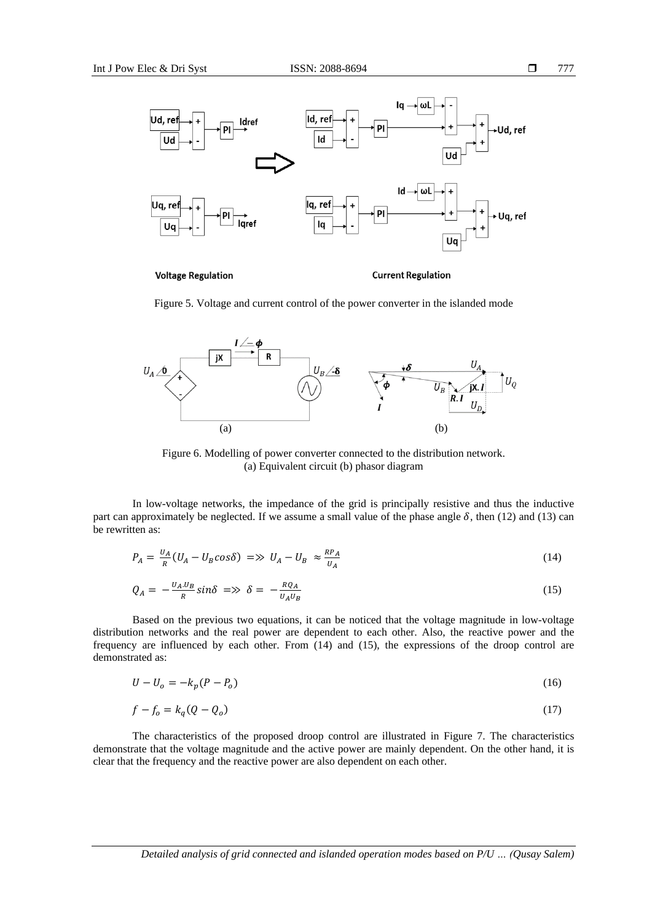

**Voltage Regulation** 

**Current Regulation** 

Figure 5. Voltage and current control of the power converter in the islanded mode



Figure 6. Modelling of power converter connected to the distribution network. (a) Equivalent circuit (b) phasor diagram

In low-voltage networks, the impedance of the grid is principally resistive and thus the inductive part can approximately be neglected. If we assume a small value of the phase angle  $\delta$ , then (12) and (13) can be rewritten as:

$$
P_A = \frac{U_A}{R}(U_A - U_B \cos \delta) \implies U_A - U_B \approx \frac{R P_A}{U_A} \tag{14}
$$

$$
Q_A = -\frac{U_A U_B}{R} \sin \delta \implies \delta = -\frac{R Q_A}{U_A U_B} \tag{15}
$$

Based on the previous two equations, it can be noticed that the voltage magnitude in low-voltage distribution networks and the real power are dependent to each other. Also, the reactive power and the frequency are influenced by each other. From (14) and (15), the expressions of the droop control are demonstrated as:

$$
U - U_o = -k_p (P - P_o) \tag{16}
$$

$$
f - f_o = k_q(Q - Q_o) \tag{17}
$$

The characteristics of the proposed droop control are illustrated in Figure 7. The characteristics demonstrate that the voltage magnitude and the active power are mainly dependent. On the other hand, it is clear that the frequency and the reactive power are also dependent on each other.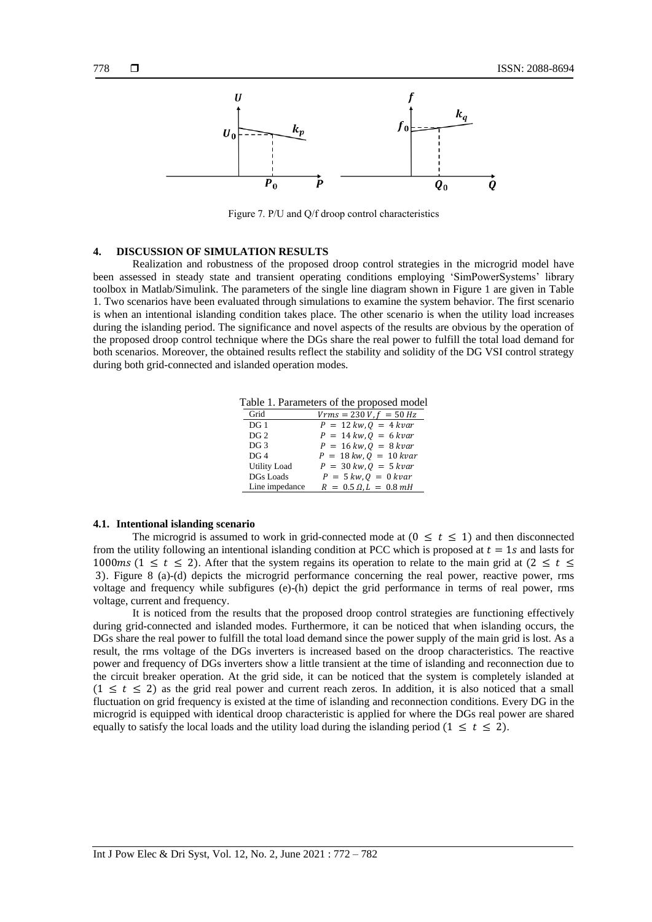

Figure 7. P/U and Q/f droop control characteristics

# **4. DISCUSSION OF SIMULATION RESULTS**

Realization and robustness of the proposed droop control strategies in the microgrid model have been assessed in steady state and transient operating conditions employing 'SimPowerSystems' library toolbox in Matlab/Simulink. The parameters of the single line diagram shown in Figure 1 are given in Table 1. Two scenarios have been evaluated through simulations to examine the system behavior. The first scenario is when an intentional islanding condition takes place. The other scenario is when the utility load increases during the islanding period. The significance and novel aspects of the results are obvious by the operation of the proposed droop control technique where the DGs share the real power to fulfill the total load demand for both scenarios. Moreover, the obtained results reflect the stability and solidity of the DG VSI control strategy during both grid-connected and islanded operation modes.

Table 1. Parameters of the proposed model

| Grid                | $Vrms = 230 V, f = 50 Hz$                       |
|---------------------|-------------------------------------------------|
| DG <sub>1</sub>     | $P = 12 \, \text{kw}, Q = 4 \, \text{kvar}$     |
| DG <sub>2</sub>     | $P = 14 \, kw, 0 = 6 \, kvar$                   |
| DG <sub>3</sub>     | $P = 16 \, \text{kw}$ , $Q = 8 \, \text{kvar}$  |
| DG <sub>4</sub>     | $P = 18 \, \text{kw}$ , $Q = 10 \, \text{kvar}$ |
| <b>Utility Load</b> | $P = 30 \, \text{kw}, Q = 5 \, \text{kvar}$     |
| <b>DGs Loads</b>    | $P = 5 \, kw, Q = 0 \, kvar$                    |
| Line impedance      | $R = 0.5 \Omega, L = 0.8 \, mH$                 |

## **4.1. Intentional islanding scenario**

The microgrid is assumed to work in grid-connected mode at  $(0 \le t \le 1)$  and then disconnected from the utility following an intentional islanding condition at PCC which is proposed at  $t = 1s$  and lasts for 1000 ms (1  $\leq t \leq$  2). After that the system regains its operation to relate to the main grid at (2  $\leq t \leq$ 3). Figure 8 (a)-(d) depicts the microgrid performance concerning the real power, reactive power, rms voltage and frequency while subfigures (e)-(h) depict the grid performance in terms of real power, rms voltage, current and frequency.

It is noticed from the results that the proposed droop control strategies are functioning effectively during grid-connected and islanded modes. Furthermore, it can be noticed that when islanding occurs, the DGs share the real power to fulfill the total load demand since the power supply of the main grid is lost. As a result, the rms voltage of the DGs inverters is increased based on the droop characteristics. The reactive power and frequency of DGs inverters show a little transient at the time of islanding and reconnection due to the circuit breaker operation. At the grid side, it can be noticed that the system is completely islanded at  $(1 \le t \le 2)$  as the grid real power and current reach zeros. In addition, it is also noticed that a small fluctuation on grid frequency is existed at the time of islanding and reconnection conditions. Every DG in the microgrid is equipped with identical droop characteristic is applied for where the DGs real power are shared equally to satisfy the local loads and the utility load during the islanding period (1  $\leq t \leq 2$ ).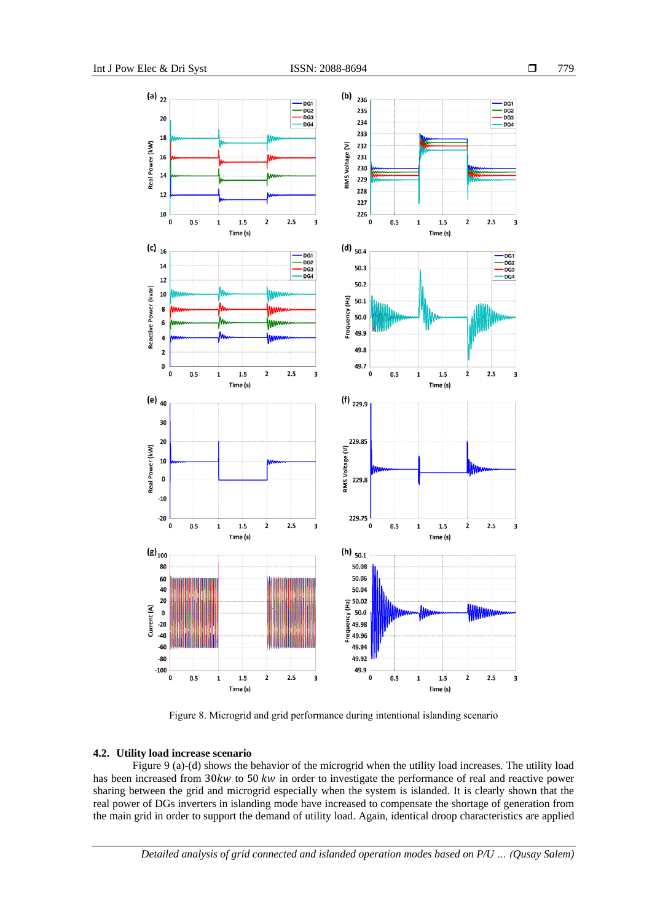

Figure 8. Microgrid and grid performance during intentional islanding scenario

## **4.2. Utility load increase scenario**

Figure 9 (a)-(d) shows the behavior of the microgrid when the utility load increases. The utility load has been increased from  $30kw$  to  $50 kw$  in order to investigate the performance of real and reactive power sharing between the grid and microgrid especially when the system is islanded. It is clearly shown that the real power of DGs inverters in islanding mode have increased to compensate the shortage of generation from the main grid in order to support the demand of utility load. Again, identical droop characteristics are applied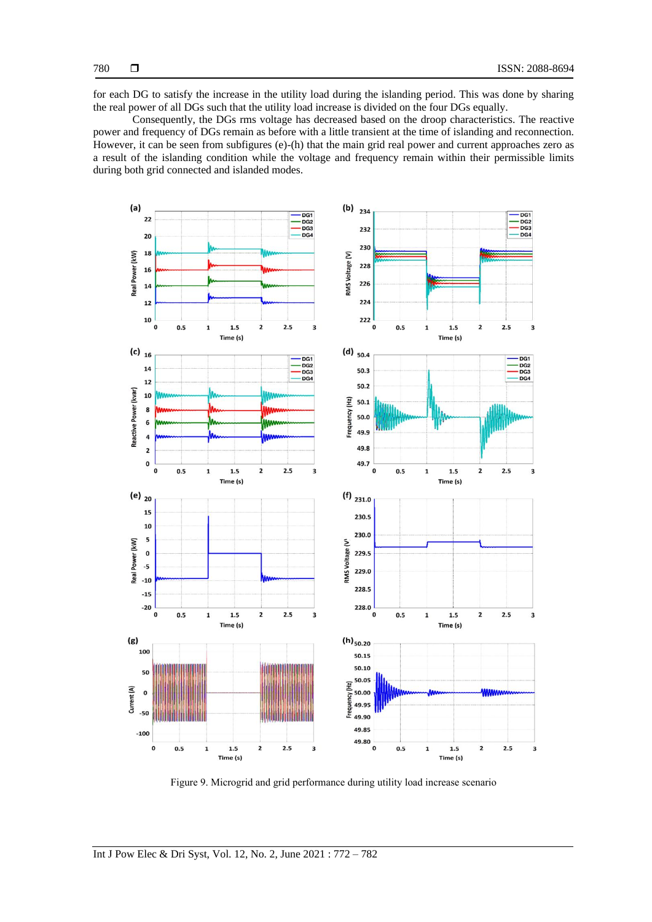for each DG to satisfy the increase in the utility load during the islanding period. This was done by sharing the real power of all DGs such that the utility load increase is divided on the four DGs equally.

Consequently, the DGs rms voltage has decreased based on the droop characteristics. The reactive power and frequency of DGs remain as before with a little transient at the time of islanding and reconnection. However, it can be seen from subfigures (e)-(h) that the main grid real power and current approaches zero as a result of the islanding condition while the voltage and frequency remain within their permissible limits during both grid connected and islanded modes.



Figure 9. Microgrid and grid performance during utility load increase scenario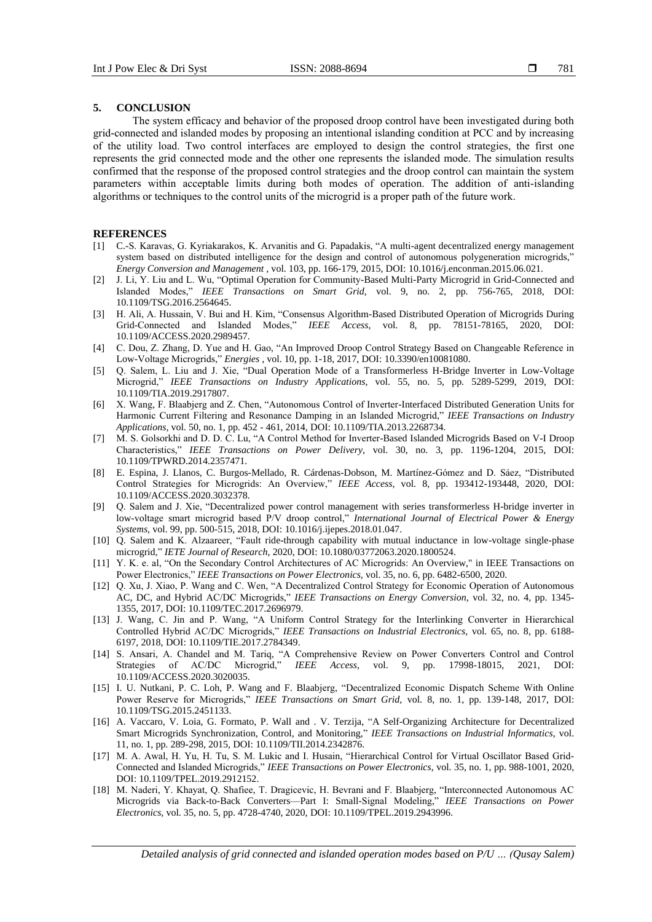#### **5. CONCLUSION**

The system efficacy and behavior of the proposed droop control have been investigated during both grid-connected and islanded modes by proposing an intentional islanding condition at PCC and by increasing of the utility load. Two control interfaces are employed to design the control strategies, the first one represents the grid connected mode and the other one represents the islanded mode. The simulation results confirmed that the response of the proposed control strategies and the droop control can maintain the system parameters within acceptable limits during both modes of operation. The addition of anti-islanding algorithms or techniques to the control units of the microgrid is a proper path of the future work.

# **REFERENCES**

- [1] C.-S. Karavas, G. Kyriakarakos, K. Arvanitis and G. Papadakis, "A multi-agent decentralized energy management system based on distributed intelligence for the design and control of autonomous polygeneration microgrids," *Energy Conversion and Management ,* vol. 103, pp. 166-179, 2015, DOI: 10.1016/j.enconman.2015.06.021.
- [2] J. Li, Y. Liu and L. Wu, "Optimal Operation for Community-Based Multi-Party Microgrid in Grid-Connected and Islanded Modes," *IEEE Transactions on Smart Grid,* vol. 9, no. 2, pp. 756-765, 2018, DOI: 10.1109/TSG.2016.2564645.
- [3] H. Ali, A. Hussain, V. Bui and H. Kim, "Consensus Algorithm-Based Distributed Operation of Microgrids During Grid-Connected and Islanded Modes," *IEEE Access,* vol. 8, pp. 78151-78165, 2020, DOI: 10.1109/ACCESS.2020.2989457.
- [4] C. Dou, Z. Zhang, D. Yue and H. Gao, "An Improved Droop Control Strategy Based on Changeable Reference in Low-Voltage Microgrids," *Energies ,* vol. 10, pp. 1-18, 2017, DOI: 10.3390/en10081080.
- [5] Q. Salem, L. Liu and J. Xie, "Dual Operation Mode of a Transformerless H-Bridge Inverter in Low-Voltage Microgrid," *IEEE Transactions on Industry Applications,* vol. 55, no. 5, pp. 5289-5299, 2019, DOI: 10.1109/TIA.2019.2917807.
- [6] X. Wang, F. Blaabjerg and Z. Chen, "Autonomous Control of Inverter-Interfaced Distributed Generation Units for Harmonic Current Filtering and Resonance Damping in an Islanded Microgrid," *IEEE Transactions on Industry Applications,* vol. 50, no. 1, pp. 452 - 461, 2014, DOI: 10.1109/TIA.2013.2268734.
- [7] M. S. Golsorkhi and D. D. C. Lu, "A Control Method for Inverter-Based Islanded Microgrids Based on V-I Droop Characteristics," *IEEE Transactions on Power Delivery,* vol. 30, no. 3, pp. 1196-1204, 2015, DOI: 10.1109/TPWRD.2014.2357471.
- [8] E. Espina, J. Llanos, C. Burgos-Mellado, R. Cárdenas-Dobson, M. Martínez-Gómez and D. Sáez, "Distributed Control Strategies for Microgrids: An Overview," *IEEE Access,* vol. 8, pp. 193412-193448, 2020, DOI: 10.1109/ACCESS.2020.3032378.
- [9] Q. Salem and J. Xie, "Decentralized power control management with series transformerless H-bridge inverter in low-voltage smart microgrid based P/V droop control," *International Journal of Electrical Power & Energy Systems,* vol. 99, pp. 500-515, 2018, DOI: 10.1016/j.ijepes.2018.01.047.
- [10] Q. Salem and K. Alzaareer, "Fault ride-through capability with mutual inductance in low-voltage single-phase microgrid," *IETE Journal of Research,* 2020, DOI: 10.1080/03772063.2020.1800524.
- [11] Y. K. e. al, "On the Secondary Control Architectures of AC Microgrids: An Overview," in IEEE Transactions on Power Electronics," *IEEE Transactions on Power Electronics,* vol. 35, no. 6, pp. 6482-6500, 2020.
- [12] Q. Xu, J. Xiao, P. Wang and C. Wen, "A Decentralized Control Strategy for Economic Operation of Autonomous AC, DC, and Hybrid AC/DC Microgrids," *IEEE Transactions on Energy Conversion,* vol. 32, no. 4, pp. 1345- 1355, 2017, DOI: 10.1109/TEC.2017.2696979.
- [13] J. Wang, C. Jin and P. Wang, "A Uniform Control Strategy for the Interlinking Converter in Hierarchical Controlled Hybrid AC/DC Microgrids," *IEEE Transactions on Industrial Electronics,* vol. 65, no. 8, pp. 6188- 6197, 2018, DOI: 10.1109/TIE.2017.2784349.
- [14] S. Ansari, A. Chandel and M. Tariq, "A Comprehensive Review on Power Converters Control and Control Strategies of AC/DC Microgrid," *IEEE Access,* vol. 9, pp. 17998-18015, 2021, DOI: 10.1109/ACCESS.2020.3020035.
- [15] I. U. Nutkani, P. C. Loh, P. Wang and F. Blaabjerg, "Decentralized Economic Dispatch Scheme With Online Power Reserve for Microgrids," *IEEE Transactions on Smart Grid,* vol. 8, no. 1, pp. 139-148, 2017, DOI: 10.1109/TSG.2015.2451133.
- [16] A. Vaccaro, V. Loia, G. Formato, P. Wall and . V. Terzija, "A Self-Organizing Architecture for Decentralized Smart Microgrids Synchronization, Control, and Monitoring," *IEEE Transactions on Industrial Informatics*, vol. 11, no. 1, pp. 289-298, 2015, DOI: 10.1109/TII.2014.2342876.
- [17] M. A. Awal, H. Yu, H. Tu, S. M. Lukic and I. Husain, "Hierarchical Control for Virtual Oscillator Based Grid-Connected and Islanded Microgrids," *IEEE Transactions on Power Electronics,* vol. 35, no. 1, pp. 988-1001, 2020, DOI: 10.1109/TPEL.2019.2912152.
- [18] M. Naderi, Y. Khayat, Q. Shafiee, T. Dragicevic, H. Bevrani and F. Blaabjerg, "Interconnected Autonomous AC Microgrids via Back-to-Back Converters—Part I: Small-Signal Modeling," *IEEE Transactions on Power Electronics,* vol. 35, no. 5, pp. 4728-4740, 2020, DOI: 10.1109/TPEL.2019.2943996.